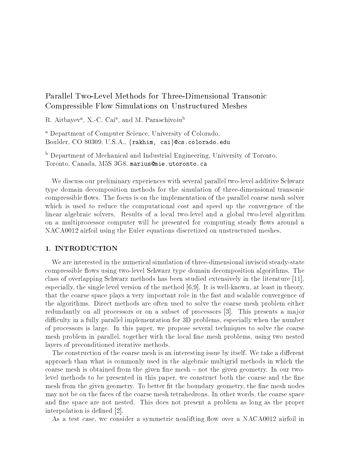# Parallel Two-Level Methods for Three-Dimensional Transonic Compressible Flow Simulations on Unstructured Meshes

 $R$ . Altbayev",  $\Lambda$  -C cal", and M. Paraschivolu $^{\circ}$ 

- Department of Computer Science, University of Colorado, Boulder, CO 80309, U.S.A., {rakhim, cai}@cs.colorado.edu

 $\,$  Department of Mechanical and Industrial Engineering, University of Toronto,  $\,$ Toronto Canada MS G mariusmie-utoronto-ca

We discuss our preliminary experiences with several parallel two-level additive Schwarz type domain decomposition methods for the simulation of three-dimensional transonic compressible flows. The focus is on the implementation of the parallel coarse mesh solver which is used to reduce the computational cost and speed up the convergence of the linear algebraic solvers Results of a local two-level and a global two-level algorithm on a multiprocessor computer will be presented for computing steady flows around a  $N$ 

## 1. INTRODUCTION

We are interested in the numerical simulation of three-dimensional inviscid steady-state compressible ows using two-level Schwarz type domain decomposition algorithms The class of overlapping Schwarz methods has been studied extensively in the literature  especially the singlet at level version of the method is placed the single method with the method  $\mu$ that the coarse space plays a very important role in the fast and scalable convergence of the algorithms Direct methods are often used to solve the coarse mesh problem either redundantly on all processors or on a subset of processors [3]. This presents a major difficulty in a fully parallel implementation for 3D problems, especially when the number of processors is large. In this paper, we propose several techniques to solve the coarse mesh problem in parallel, together with the local fine mesh problems, using two nested layers of preconditioned iterative methods

The construction of the coarse mesh is an interesting issue by itself. We take a different approach than what is commonly used in the algebraic multigrid methods in which the coarse mesh is obtained from the given fine mesh – not the given geometry. In our twolevel methods to be presented in this paper, we construct both the coarse and the fine mesh from the given geometry. To better fit the boundary geometry, the fine mesh nodes may not be on the faces of the coarse mesh tetrahedrons In other words the coarse space and fine space are not nested. This does not present a problem as long as the proper interpretation is defined as a control of the control of the control of the control of the control of the control of the control of the control of the control of the control of the control of the control of the control of

 $\mathbf{A}$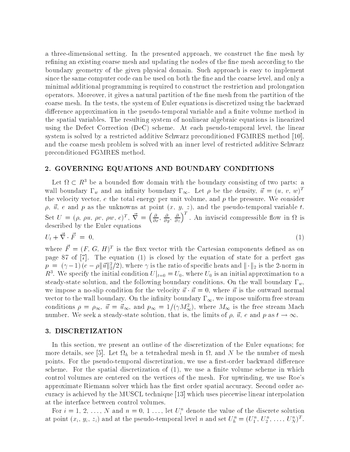a three-dimensional setting In the presented approach we construct the ne mesh by refining an existing coarse mesh and updating the nodes of the fine mesh according to the boundary geometry of the given physical domain Such approach is easy to implement since the same computer code can be used on both the fine and the coarse level, and only a minimal additional programming is required to construct the restriction and prolongation operators. Moreover, it gives a natural partition of the fine mesh from the partition of the coarse mesh. In the tests, the system of Euler equations is discretized using the backward dierence approximation in the pseudo-temporal variable and a nite volume method in the spatial variables The resulting system of nonlinear algebraic equations is linearized using the Defect Correction DeC scheme At each pseudo-temporal level the linear system is solved by a restricted additive Schwarz preconditioned FGMRES method  and the coarse mesh problem is solved with an inner level of restricted additive Schwarz preconditioned FGMRES method

#### - GOVERNING EQUATIONS AND BOUNDARY CONDITIONS

Let  $\Omega \subset R^3$  be a bounded flow domain with the boundary consisting of two parts: a wall boundary  $\Gamma_w$  and an innitity boundary  $\Gamma_\infty$ . Let  $\rho$  be the density,  $u = (u, v, w)^$ the velocity vector,  $e$  the total energy per unit volume, and  $p$  the pressure. We consider u e and passer as the unit at the point  $\mu$  and  $\mu$  and the pseudo-called the pseudo-called the pseudo-called Set  $U = (\rho, \rho u, \rho v, \rho w, e)^T$ ,  $\vec{\nabla} = \left(\frac{\partial}{\partial x}, \frac{\partial}{\partial y}, \frac{\partial}{\partial z}\right)^T$ . An inviscid compressible flow in  $\Omega$  is described by the Euler equations of the Euler equations of the Euler equations of the Euler equations of the Eu

$$
U_t + \vec{\nabla} \cdot \vec{F} = 0,\tag{1}
$$

where  $F = (F, G, H)^+$  is the nux vector with the Cartesian components denned as on page 87 of  $[7]$ . The equation  $(1)$  is closed by the equation of state for a perfect gas  $p = (\gamma - 1) (e - \rho || \vec{u} ||_2^2/2)$ , where  $\gamma$  is the ratio of specific heats and  $|| \cdot ||_2$  is the 2-norm in  $R^3$ . We specify the initial condition  $U|_{t=0}=U_0,$  where  $U_0$  is an initial approximation to a steady-state solution and the following boundary conditions On the wall boundary w we impose a no-sitp condition for the velocity  $u \cdot n = v$ , where n is the outward normal vector to the wall boundary. On the infinity boundary  $\Gamma_{\infty}$ , we impose uniform free stream conditions  $\rho = \rho_{\infty}$ ,  $\vec{u} = \vec{u}_{\infty}$ , and  $p_{\infty} = 1/(\gamma M_{\infty}^2)$ , where  $M_{\infty}$  is the free stream Mach number we seek a steady-state solution, that is, the limits of  $\rho, \, u, \, e$  and  $p$  as  $t \to \infty$ .

## DISCRETIZATION

In this section, we present an outline of the discretization of the Euler equations; for more details, see [5]. Let  $\Omega_h$  be a tetrahedral mesh in  $\Omega$ , and N be the number of mesh points For the pseudo-temporal discretization we use a result of the pseudo-temporal discretization we use a r scheme. For the spatial discretization of  $(1)$ , we use a finite volume scheme in which control volumes are centered on the vertices of the mesh. For upwinding, we use Roe's approximate Riemann solver which has the first order spatial accuracy. Second order accuracy is achieved by the MUSCL technique [13] which uses piecewise linear interpolation at the interface between control volumes

For  $i = 1, 2, ..., N$  and  $n = 0, 1, ...,$  let  $U_i$  denote the value of the discrete solution at point  $(x_i, y_i, z_i)$  and at the pseudo-temporal level n and set  $U_h^+ = (U_1^+, U_2^-, \ldots, U_N^+)^-$ .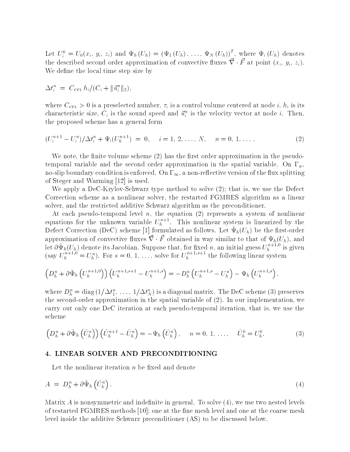Let  $U_i^{\circ} = U_0(x_i, y_i, z_i)$  and  $\Psi_h(U_h) = (\Psi_1(U_h), \ldots, \Psi_N(U_h))^{\circ}$ , where  $\Psi_i(U_h)$  denotes the described second order approximation of convective fluxes  $\nabla \cdot F$  at point  $(x_i, y_i, z_i)$ . We define the local time step size by

$$
\Delta t_i^n = C_{\text{CFL}} h_i / (C_i + ||\vec{u}_i^n||_2),
$$

where  $C_{\text{CFL}} > 0$  is a preselected number,  $\tau_i$  is a control volume centered at node i,  $h_i$  is its characteristic size,  $C_i$  is the sound speed and  $u_i^{\perp}$  is the velocity vector at node  $i$ . Then, the proposed scheme has a general form

$$
(U_i^{n+1} - U_i^n) / \Delta t_i^n + \Psi_i (U_h^{n+1}) = 0, \quad i = 1, 2, ..., N, \quad n = 0, 1, .... \tag{2}
$$

we note the nite volume scheme scheme  $\{ - \}$  nite volume scheme scheme approximation in the pseudotemporal variable and the second order approximation in the spatial variable. On  $\Gamma_w$ , no-slip boundary condition is entour contract on the  $\omega_1$  splitting version is entour constant of the user  $\Omega$  $\mathcal{L}$  is used and Warming  $\mathcal{L}$  is used and Warming  $\mathcal{L}$ 

we apply a Dec-Catalogue method type method to solve the Unit and the Unit of the Defect Correction scheme as a nonlinear solver, the restarted FGMRES algorithm as a linear solver, and the restricted additive Schwarz algorithm as the preconditioner.

At each pseudo-temporal level n the equation represents a system of nonlinear equations for the unknown variable  $U_h^{++}, \quad$  I his nonlinear system is linearized by the Defect Correction (DeC) seneme [1] formulated as follows. Let  $\star h(\theta h)$  be the mist-order approximation of convective fluxes  $\vec{\nabla} \cdot \vec{F}$  obtained in way similar to that of  $\Psi_h(U_h)$ , and obtained in the interpretation in the of the  $\mu$  (  $\mu$  ) in the order of  $\mu$ let  $\sigma \Psi_h(U_h)$  denote its Jacobian. Suppose that, for fixed  $n,$  an initial guess  $U_h^{n+r+s}$  is given (say  $U_h^{n+1} = U_h^n$ ). For  $s = 0, 1, \ldots$ , solve for  $U_h^{n+1}$  the following linear system

$$
\left(D_h^n + \partial \tilde{\Psi}_h \left(U_h^{n+1,0}\right)\right) \left(U_h^{n+1,s+1} - U_h^{n+1,s}\right) = -D_h^n \left(U_h^{n+1,s} - U_h^n\right) - \Psi_h \left(U_h^{n+1,s}\right),
$$

where  $D_h^* = \text{diag}(1/\Delta t_1^*, \ldots, 1/\Delta t_N^*)$  is a diagonal matrix. The DeC scheme (5) preserves the second-second-second-second-second-spatial variable of  $\mathcal{P}_i$  and spatial variable of  $\mathcal{P}_i$ carry out only one DeC iteration at each pseudo-temporal iteration that is we use the scheme

$$
\left(D_h^n + \partial \tilde{\Psi}_h\left(\tilde{U}_h^n\right)\right)\left(\tilde{U}_h^{n+1} - \tilde{U}_h^n\right) = -\Psi_h\left(\tilde{U}_h^n\right), \quad n = 0, 1, \dots, \quad \tilde{U}_h^0 = U_h^0. \tag{3}
$$

### LINEAR SOLVER AND PRECONDITIONING

Let the nonlinear iteration  $n$  be fixed and denote

$$
A = D_h^n + \partial \tilde{\Psi}_h \left( \tilde{U}_h^n \right). \tag{4}
$$

Matrix A is nonsymmetric and indefinite in general. To solve  $(4)$ , we use two nested levels of restarted FGMRES methods  $[10]$ ; one at the fine mesh level and one at the coarse mesh level inside the additive Schwarz preconditioner (AS) to be discussed below.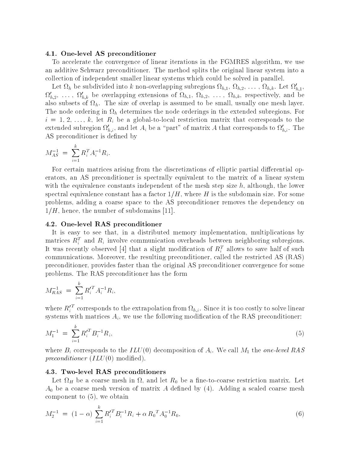#### 4.1. One-level AS preconditioner

To accelerate the convergence of linear iterations in the FGMRES algorithm, we use an additive Schwarz preconditioner. The method splits the original linear system into a collection of independent smaller linear systems which could be solved in parallel

Let  $\Omega_h$  be subdivided into k non-overlapping subregions  $\Omega_{h,1}, \Omega_{h,2}, \ldots, \Omega_{h,k}$ . Let  $\Omega_{h,1},$  $\Omega'_{h,2}, \ldots, \Omega'_{h,k}$  be overlapping extensions of  $\Omega_{h,1}, \Omega_{h,2}, \ldots, \Omega_{h,k}$ , respectively, and be also subsets of  $\Omega_h$ . The size of overlap is assumed to be small, usually one mesh layer. The node ordering in  $\Omega_h$  determines the node orderings in the extended subregions. For is a global-to-called  $\alpha$  and  $\alpha$  and  $\alpha$  are striction matrix that corresponds to the corresponds to the corresponds to the corresponds to the corresponds to the corresponds to the corresponds to the corresponds to th extended subregion  $\Omega'_{h,i}$ , and let  $A_i$  be a "part" of matrix A that corresponds to  $\Omega'_{h,i}$ . The AS preconditioner is defined by

$$
M_{AS}^{-1} = \sum_{i=1}^{k} R_i^T A_i^{-1} R_i.
$$

For certain matrices arising from the discretizations of elliptic partial differential operators an AS preconditioner is spectrally equivalent to the matrix of a linear system with the equivalence constants independent of the mesh step size  $h$ , although, the lower spectral equivalence constant has a factor  $1/H$ , where  $H$  is the subdomain size. For some problems adding a coarse space to the AS preconditioner removes the dependency on  $1/H$ , hence, the number of subdomains [11].

#### - Onelevel RAS preconditioner

It is easy to see that, in a distributed memory implementation, multiplications by matrices  $\bm{\pi}^\pm_i$  and  $\bm{\pi}_i$  involve communication overheads between neighboring subregions. It was recently observed [4] that a slight modification of  $\Lambda_i^\pm$  allows to save half of such communications. Moreover, the resulting preconditioner, called the restricted AS (RAS) preconditioner, provides faster than the original AS preconditioner convergence for some problems The RAS preconditioner has the form

$$
M_{RAS}^{-1} = \sum_{i=1}^{k} R_i^{\prime T} A_i^{-1} R_i,
$$

where  $R_i^-$  corresponds to the extrapolation from  $\Omega_{h,i}.$  Since it is too costly to solve linear systems with matrices  $A_i$ , we use the following modification of the RAS preconditioner:

$$
M_1^{-1} = \sum_{i=1}^k R_i^{\prime T} B_i^{-1} R_i,\tag{5}
$$

where  $B_i$  corresponds to the  $ILU(0)$  decomposition of  $A_i$ . We call  $M_1$  the *one-level RAS* preconditioner  $(ILU(0) \text{ modified})$ .

#### 4.3. Two-level RAS preconditioners

 $\mathbf{u}$  and let  $\mathbf{v}$  be a new-striction matrix  $\mathbf{v}$  $A_0$  be a coarse mesh version of matrix A defined by  $(4)$ . Adding a scaled coarse mesh component to  $(5)$ , we obtain

$$
M_2^{-1} = (1 - \alpha) \sum_{i=1}^{k} R_i^{\prime T} B_i^{-1} R_i + \alpha R_0^T A_0^{-1} R_0,
$$
\n
$$
(6)
$$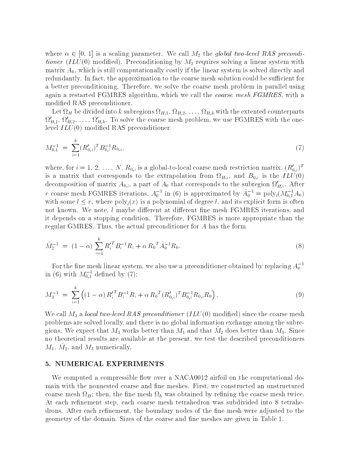where  $\alpha \in [0, 1]$  is a scaling parameter. We call  $M_2$  the global two-level RAS preconditioner (ILU(0) modified). Preconditioning by  $M_2$  requires solving a linear system with matrix  $A_0$ , which is still computationally costly if the linear system is solved directly and redundantly. In fact, the approximation to the coarse mesh solution could be sufficient for a better preconditioning. Therefore, we solve the coarse mesh problem in parallel using again a restarted FGMRES algorithm, which we call the *coarse mesh FGMRES*, with a modified RAS preconditioner.

Let  $\Omega_H$  be divided into k subregions  $\Omega_{H,1}$ ,  $\Omega_{H,2}$ ,  $\ldots$ ,  $\Omega_{H,k}$  with the extented counterparts  $\Omega'_{H,1}, \Omega'_{H,2}, \ldots, \Omega'_{H,k}$ . To solve the coarse mesh problem, we use FGMRES with the onelevel  $ILU(0)$  modified RAS preconditioner

$$
M_{0,1}^{-1} = \sum_{i=1}^{k} (R'_{0,i})^T B_{0,i}^{-1} R_{0,i}, \qquad (7)
$$

where, for  $i = 1, 2, \ldots, N$ ,  $R_{0,i}$  is a global-to-local coarse mesh restriction matrix,  $(R_{0,i})$ is a matrix that corresponds to the extrapolation from  $\Omega_{H,i}$ , and  $B_{0,i}$  is the  $ILU(0)$ decomposition of matrix  $A_{0,i}$ , a part of  $A_0$  that corresponds to the subregion  $\Omega'_{H,i}$ . After r coarse mesh FGMRES iterations,  $A_0$  in (6) is approximated by  $A_0$  =  $poly_l(M_{0.1}A_0)$ with some  $l \leq r$ , where poly<sub>l</sub> $(x)$  is a polynomial of degree l, and its explicit form is often not known. We note,  $l$  maybe different at different fine mesh FGMRES iterations, and it depends on a stopping condition. Therefore, FGMRES is more appropriate than the regular GMRES. Thus, the actual preconditioner for A has the form

$$
\tilde{M}_2^{-1} = (1 - \alpha) \sum_{i=1}^k R_i^{\prime T} B_i^{-1} R_i + \alpha R_0^T \tilde{A}_0^{-1} R_0.
$$
\n(8)

For the fine mesh linear system, we also use a preconditioner obtained by replacing  $A_0^ \,$ in (b) with  $M_{0.1}^-$  defined by (7):

$$
M_3^{-1} = \sum_{i=1}^k \left( (1 - \alpha) R_i^{\prime T} B_i^{-1} R_i + \alpha R_0^T (R_{0,i}^{\prime})^T B_{0,i}^{-1} R_{0,i} R_0 \right).
$$
 (9)

We call  $M_3$  a local two-level RAS preconditioner  $(ILU(0)$  modified) since the coarse mesh problems are solved locally, and there is no global information exchange among the subregions. We expect that  $m_3$  works better than  $m_1$  and that  $m_2$  does better than  $m_3$ . Since no theoretical results are available at the present, we test the described preconditioners  $m_1, \, m_2, \, {\rm and} \, \, m_3$  numerically.

## 5. NUMERICAL EXPERIMENTS

We computed a compressible ow over a NACA airfoil on the computational domain with the nonnested coarse and fine meshes. First, we constructed an unstructured coarse mesh  $\Omega_H$ ; then, the fine mesh  $\Omega_h$  was obtained by refining the coarse mesh twice. At each refinement step, each coarse mesh tetrahedron was subdivided into 8 tetrahedrons. After each refinement, the boundary nodes of the fine mesh were adjusted to the geometry of the domain. Sizes of the coarse and fine meshes are given in Table 1.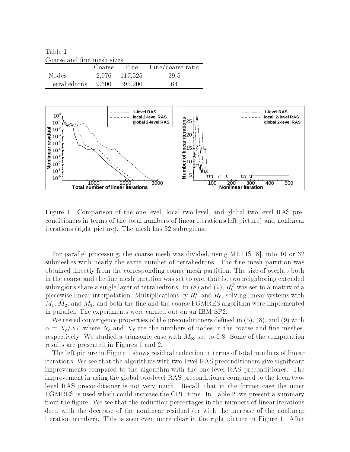Table Coarse and fine mesh sizes

| Course and mic mesh sizes  |               |                               |  |
|----------------------------|---------------|-------------------------------|--|
|                            |               | Coarse Fine Fine/coarse ratio |  |
| Nodes                      | 2,976 117,525 | - 395                         |  |
| Tetrahedrons 9.300 595,200 |               | 64                            |  |



Figure Comparison of the one-level local two-level and global two-level RAS preconditioners in terms of the total numbers of linear iterations (left picture) and nonlinear iterations right picture The mesh has subregions

For parallel processing, the coarse mesh was divided, using METIS  $[8]$ , into 16 or 32 submeshes with nearly the same number of tetrahedrons. The fine mesh partition was obtained directly from the corresponding coarse mesh partition The size of overlap both in the coarse and the fine mesh partition was set to one, that is, two neighboring extended subregions share a single layer of tetrahedrons. In (8) and (9),  $\kappa_0^*$  was set to a matrix of a piecewise imear interpolation. Multiplications by  $\kappa_0^*$  and  $\kappa_0$ , solving linear systems with  $m_1, m_2,$  and  $m_3,$  and both the nne and the coarse FGMRES algorithm were implemented in parallel The experiments were carried out on an IBM SP

We tested convergence properties of the preconditioners defined in  $(5)$ ,  $(8)$ , and  $(9)$  with  $\alpha = N_c/N_f$ , where  $N_c$  and  $N_f$  are the numbers of nodes in the coarse and fine meshes, respectively. We studied a transonic case with  $M_{\infty}$  set to 0.8. Some of the computation results are presented in Figures . The presented in Figures . The presented in Figures . The presented in Figure

The left picture in Figure 1 shows residual reduction in terms of total numbers of linear iterations with the algorithms with two-distances give significant  $\mathbf{u}$ improvements compared to the algorithm with the one-level RAS preconditioner The improvement in using the global two-level RAS preconditioner compared to the local twolevel RAS preconditioner is not very much Recall that in the former case the inner FGMRES is used which could increase the CPU time In Table 2 and  $\mathcal{A}$  summary In Table 2 and  $\mathcal{A}$ from the figure. We see that the reduction percentages in the numbers of linear iterations drop with the decrease of the nonlinear residual (or with the increase of the nonlinear iteration number). This is seen even more clear in the right picture in Figure 1. After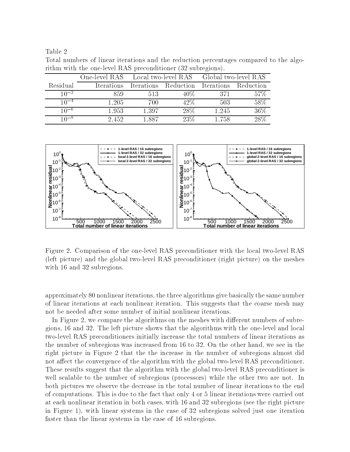Table

|           | THE WIGHT THE ONE TOTEL FORD PRECONDITIONER TO BUDICATORS. |                                                        |                                           |       |         |
|-----------|------------------------------------------------------------|--------------------------------------------------------|-------------------------------------------|-------|---------|
|           |                                                            | One-level RAS Local two-level RAS Global two-level RAS |                                           |       |         |
| Residual  | Iterations                                                 |                                                        | Iterations Reduction Iterations Reduction |       |         |
| $10^{-2}$ | 859                                                        | 513                                                    | $40\%$                                    | -371  | $-57\%$ |
| $10^{-4}$ | 1.205                                                      | 700                                                    | $42\%$                                    | 503   | 58%     |
| $10^{-6}$ | 1.953                                                      | 1,397                                                  | 28\%                                      | 1,245 | 36\%    |
| $10^{-8}$ | 2.452                                                      | 1,887                                                  | 23\%                                      | 1,758 | 28\%    |

Total numbers of linear iterations and the reduction percentages compared to the algorithm with the one-level RAS preconditioner (32 subregions)



Figure Comparison of the one-level RAS preconditioner with the local two-level RAS left picture and the global two-level RAS preconditioner right picture on the meshes with  $\mathcal{L}$  and  $\mathcal{L}$  and  $\mathcal{L}$  and  $\mathcal{L}$  and  $\mathcal{L}$  and  $\mathcal{L}$  and  $\mathcal{L}$  and  $\mathcal{L}$  and  $\mathcal{L}$  and  $\mathcal{L}$  and  $\mathcal{L}$  and  $\mathcal{L}$  and  $\mathcal{L}$  and  $\mathcal{L}$  and  $\mathcal{L}$  and  $\mathcal{L}$  and  $\mathcal{L}$ 

approximately 80 nonlinear iterations, the three algorithms give basically the same number of linear iterations at each nonlinear iteration This suggests that the coarse mesh may not be needed after some number of initial nonlinear iterations

In Figure we compare the algorithms on the meshes with dierent numbers of subre- $\mathbf{A}$ two-level RAS preconditioners initially increase the total numbers of linear iterations as the number of subregions was increased from  $\mathcal{M}$ right picture in Figure that the the increase in the number of subregions almost did not aect the convergence of the algorithm with the global two-level RAS preconditioner These results suggest that the algorithm with the global two-level RAS preconditioner is well scalable to the number of subregions (processors) while the other two are not. In both pictures we observe the decrease in the total number of linear iterations to the end of computations. This is due to the fact that only 4 or 5 linear iterations were carried out at each nonlinear iteration in both cases with  $\alpha$  is the right picture of  $\alpha$  and  $\alpha$  is a right picture. in Figure . We are systems in the case of  $\mathbf{A}$ faster than the linear systems in the case of 16 subregions.